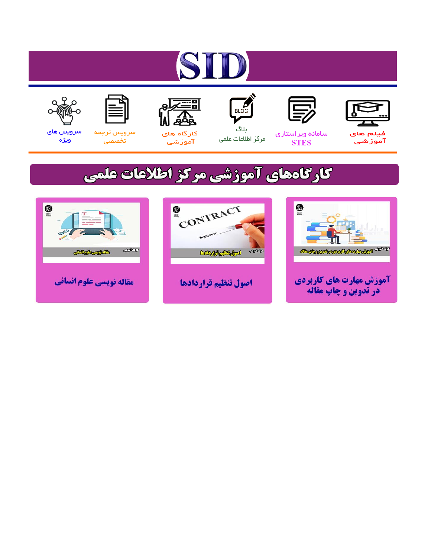# ST











مرکز اطلاعات علمی

 $\frac{1}{\sqrt{\frac{1}{100}}}$ ىلاگ



آموزشي

空

سرويس ترجمه تخصصى



سرویس های ويژه

## كارگاههای آموزشی مركز اطلاعات علمی





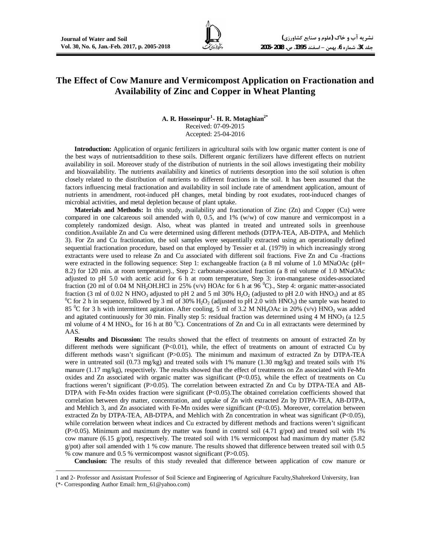j

### **The Effect of Cow Manure and Vermicompost Application on Fractionation and Availability of Zinc and Copper in Wheat Planting**

**A. R. Hosseinpur<sup>1</sup> - H. R. Motaghian2\*** Received: 07-09-2015 Accepted: 25-04-2016

**Introduction:** Application of organic fertilizers in agricultural soils with low organic matter content is one of the best ways of nutrientsaddition to these soils. Different organic fertilizers have different effects on nutrient availability in soil. Moreover study of the distribution of nutrients in the soil allows investigating their mobility and bioavailability. The nutrients availability and kinetics of nutrients desorption into the soil solution is often closely related to the distribution of nutrients to different fractions in the soil. It has been assumed that the factors influencing metal fractionation and availability in soil include rate of amendment application, amount of nutrients in amendment, root-induced pH changes, metal binding by root exudates, root-induced changes of microbial activities, and metal depletion because of plant uptake.

**Materials and Methods:** In this study, availability and fractionation of Zinc (Zn) and Copper (Cu) were compared in one calcareous soil amended with 0, 0.5, and 1% (w/w) of cow manure and vermicompost in a completely randomized design. Also, wheat was planted in treated and untreated soils in greenhouse condition.Available Zn and Cu were determined using different methods (DTPA-TEA, AB-DTPA, and Mehlich 3). For Zn and Cu fractionation, the soil samples were sequentially extracted using an operationally defined sequential fractionation procedure, based on that employed by Tessier et al. (1979) in which increasingly strong extractants were used to release Zn and Cu associated with different soil fractions. Five Zn and Cu -fractions were extracted in the following sequence: Step 1: exchangeable fraction (a 8 ml volume of 1.0 MNaOAc (pH= 8.2) for 120 min. at room temperature)., Step 2: carbonate-associated fraction (a 8 ml volume of 1.0 MNaOAc adjusted to pH 5.0 with acetic acid for 6 h at room temperature, Step 3: iron-manganese oxides-associated fraction (20 ml of 0.04 M NH<sub>2</sub>OH.HCl in 25% (v/v) HOAc for 6 h at 96 <sup>0</sup>C)., Step 4: organic matter-associated fraction (3 ml of 0.02 N HNO<sub>3</sub> adjusted to pH 2 and 5 ml 30% H<sub>2</sub>O<sub>2</sub> (adjusted to pH 2.0 with HNO<sub>3</sub>) and at 85 <sup>0</sup>C for 2 h in sequence, followed by 3 ml of 30%  $H_2O_2$  (adjusted to pH 2.0 with HNO<sub>3</sub>) the sample was heated to 85 <sup>o</sup>C for 3 h with intermittent agitation. After cooling, 5 ml of 3.2 M NH<sub>4</sub>OAc in 20% (v/v) HNO<sub>3</sub> was added and agitated continuously for 30 min. Finally step 5: residual fraction was determined using 4 M HNO<sub>3</sub> (a 12.5) ml volume of 4 M HNO<sub>3</sub>, for 16 h at 80  $^{\circ}$ C). Concentrations of Zn and Cu in all extractants were determined by AAS.

**Results and Discussion:** The results showed that the effect of treatments on amount of extracted Zn by different methods were significant (P<0.01), while, the effect of treatments on amount of extracted Cu by different methods wasn't significant (P>0.05). The minimum and maximum of extracted Zn by DTPA-TEA were in untreated soil (0.73 mg/kg) and treated soils with 1% manure (1.30 mg/kg) and treated soils with 1% manure (1.17 mg/kg), respectively. The results showed that the effect of treatments on Zn associated with Fe-Mn oxides and Zn associated with organic matter was significant  $(P< 0.05)$ , while the effect of treatments on Cu fractions weren't significant (P>0.05). The correlation between extracted Zn and Cu by DTPA-TEA and AB-DTPA with Fe-Mn oxides fraction were significant (P<0.05).The obtained correlation coefficients showed that correlation between dry matter, concentration, and uptake of Zn with extracted Zn by DTPA-TEA, AB-DTPA, and Mehlich 3, and Zn associated with Fe-Mn oxides were significant (P<0.05). Moreover, correlation between extracted Zn by DTPA-TEA, AB-DTPA, and Mehlich with Zn concentration in wheat was significant (P<0.05), while correlation between wheat indices and Cu extracted by different methods and fractions weren't significant (P $>0.05$ ). Minimum and maximum dry matter was found in control soil (4.71 g/pot) and treated soil with 1% cow manure (6.15 g/pot), respectively. The treated soil with 1% vermicompost had maximum dry matter (5.82 g/pot) after soil amended with 1 % cow manure. The results showed that difference between treated soil with 0.5 % cow manure and 0.5 % vermicompost wasnot significant (P>0.05).

**Conclusion:** The results of this study revealed that difference between application of cow manure or

<sup>1</sup> and 2- Professor and Assistant Professor of Soil Science and Engineering of Agriculture Faculty,Shahrekord University, Iran (\*- Corresponding Author Email: hrm\_61@yahoo.com)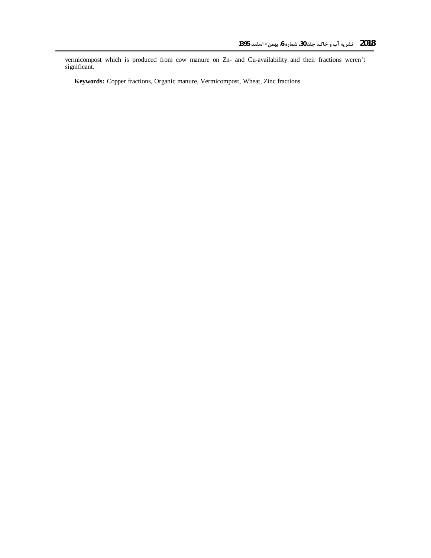vermicompost which is produced from cow manure on Zn- and Cu-availability and their fractions weren't significant.

**Keywords:** Copper fractions, Organic manure, Vermicompost, Wheat, Zinc fractions